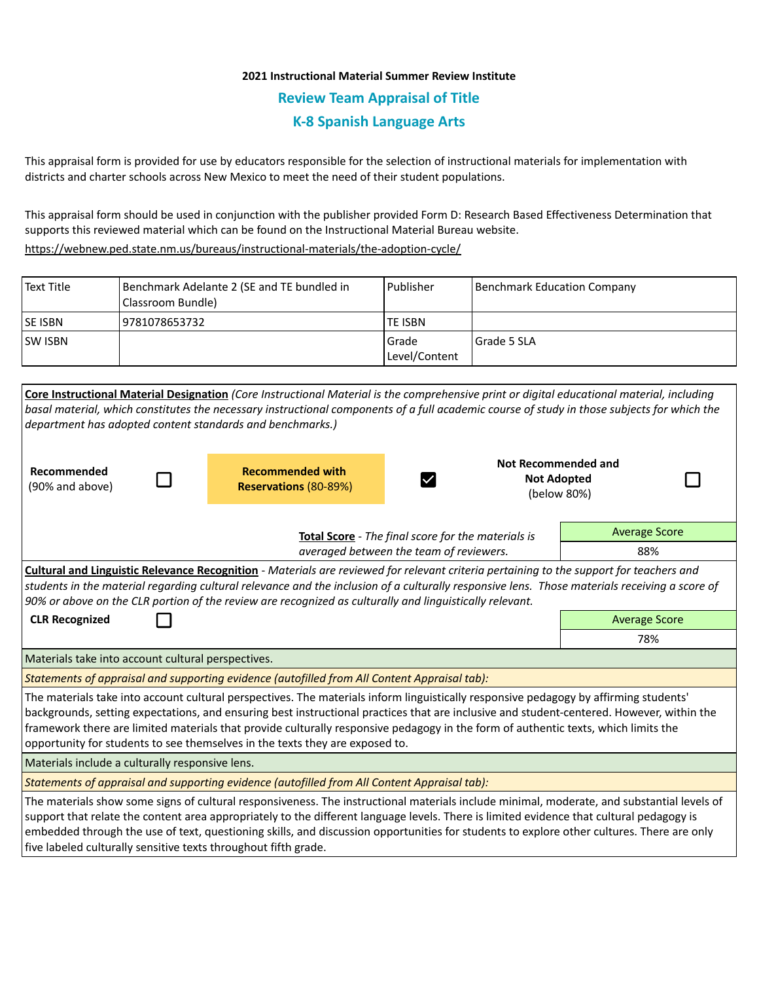## **2021 Instructional Material Summer Review Institute Review Team Appraisal of Title K-8 Spanish Language Arts**

This appraisal form is provided for use by educators responsible for the selection of instructional materials for implementation with districts and charter schools across New Mexico to meet the need of their student populations.

This appraisal form should be used in conjunction with the publisher provided Form D: Research Based Effectiveness Determination that supports this reviewed material which can be found on the Instructional Material Bureau website.

<https://webnew.ped.state.nm.us/bureaus/instructional-materials/the-adoption-cycle/>

| Text Title     | Benchmark Adelante 2 (SE and TE bundled in<br> Classroom Bundle) | l Publisher              | Benchmark Education Company |
|----------------|------------------------------------------------------------------|--------------------------|-----------------------------|
| <b>SE ISBN</b> | 19781078653732                                                   | <b>TE ISBN</b>           |                             |
| <b>SW ISBN</b> |                                                                  | l Grade<br>Level/Content | l Grade 5 SLA               |

| Core Instructional Material Designation (Core Instructional Material is the comprehensive print or digital educational material, including    |                                                    |                    |                      |  |  |  |
|-----------------------------------------------------------------------------------------------------------------------------------------------|----------------------------------------------------|--------------------|----------------------|--|--|--|
| basal material, which constitutes the necessary instructional components of a full academic course of study in those subjects for which the   |                                                    |                    |                      |  |  |  |
| department has adopted content standards and benchmarks.)                                                                                     |                                                    |                    |                      |  |  |  |
|                                                                                                                                               |                                                    |                    |                      |  |  |  |
|                                                                                                                                               |                                                    |                    | Not Recommended and  |  |  |  |
| Recommended                                                                                                                                   | <b>Recommended with</b>                            | <b>Not Adopted</b> |                      |  |  |  |
| (90% and above)                                                                                                                               | <b>Reservations (80-89%)</b>                       |                    | (below 80%)          |  |  |  |
|                                                                                                                                               |                                                    |                    |                      |  |  |  |
|                                                                                                                                               | Total Score - The final score for the materials is |                    | <b>Average Score</b> |  |  |  |
| averaged between the team of reviewers.                                                                                                       |                                                    |                    | 88%                  |  |  |  |
| Cultural and Linguistic Relevance Recognition - Materials are reviewed for relevant criteria pertaining to the support for teachers and       |                                                    |                    |                      |  |  |  |
| students in the material regarding cultural relevance and the inclusion of a culturally responsive lens. Those materials receiving a score of |                                                    |                    |                      |  |  |  |
| 90% or above on the CLR portion of the review are recognized as culturally and linguistically relevant.                                       |                                                    |                    |                      |  |  |  |
| <b>CLR Recognized</b>                                                                                                                         | <b>Average Score</b>                               |                    |                      |  |  |  |
|                                                                                                                                               | 78%                                                |                    |                      |  |  |  |
| Materials take into account cultural perspectives.                                                                                            |                                                    |                    |                      |  |  |  |
| Statements of appraisal and supporting evidence (autofilled from All Content Appraisal tab):                                                  |                                                    |                    |                      |  |  |  |
| The materials take into account cultural perspectives. The materials inform linguistically responsive pedagogy by affirming students'         |                                                    |                    |                      |  |  |  |
| backgrounds, setting expectations, and ensuring best instructional practices that are inclusive and student-centered. However, within the     |                                                    |                    |                      |  |  |  |
| framework there are limited materials that provide culturally responsive pedagogy in the form of authentic texts, which limits the            |                                                    |                    |                      |  |  |  |
| opportunity for students to see themselves in the texts they are exposed to.                                                                  |                                                    |                    |                      |  |  |  |
| Materials include a culturally responsive lens.                                                                                               |                                                    |                    |                      |  |  |  |
| Statements of appraisal and supporting evidence (autofilled from All Content Appraisal tab):                                                  |                                                    |                    |                      |  |  |  |
| The materials show some signs of cultural responsiveness. The instructional materials include minimal, moderate, and substantial levels of    |                                                    |                    |                      |  |  |  |
| support that relate the content area appropriately to the different language levels. There is limited evidence that cultural pedagogy is      |                                                    |                    |                      |  |  |  |
| embedded through the use of text, questioning skills, and discussion opportunities for students to explore other cultures. There are only     |                                                    |                    |                      |  |  |  |
| five labeled culturally sensitive texts throughout fifth grade.                                                                               |                                                    |                    |                      |  |  |  |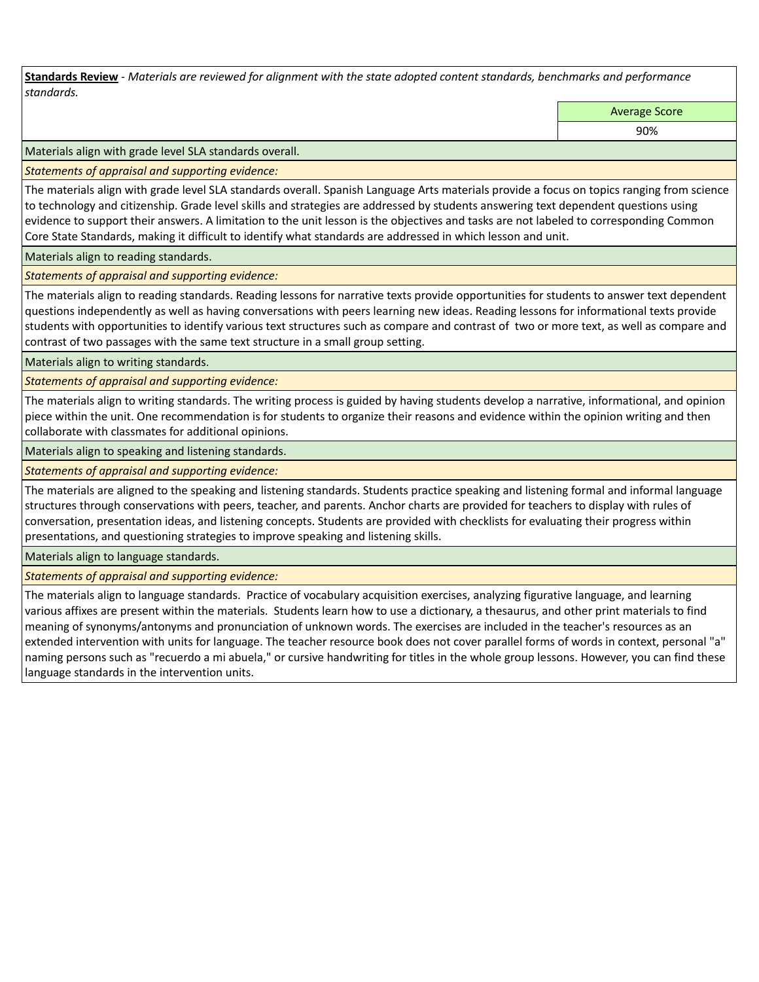**Standards Review** *- Materials are reviewed for alignment with the state adopted content standards, benchmarks and performance standards.*

Average Score

90%

Materials align with grade level SLA standards overall.

*Statements of appraisal and supporting evidence:* 

The materials align with grade level SLA standards overall. Spanish Language Arts materials provide a focus on topics ranging from science to technology and citizenship. Grade level skills and strategies are addressed by students answering text dependent questions using evidence to support their answers. A limitation to the unit lesson is the objectives and tasks are not labeled to corresponding Common Core State Standards, making it difficult to identify what standards are addressed in which lesson and unit.

Materials align to reading standards.

*Statements of appraisal and supporting evidence:* 

The materials align to reading standards. Reading lessons for narrative texts provide opportunities for students to answer text dependent questions independently as well as having conversations with peers learning new ideas. Reading lessons for informational texts provide students with opportunities to identify various text structures such as compare and contrast of two or more text, as well as compare and contrast of two passages with the same text structure in a small group setting.

Materials align to writing standards.

*Statements of appraisal and supporting evidence:* 

The materials align to writing standards. The writing process is guided by having students develop a narrative, informational, and opinion piece within the unit. One recommendation is for students to organize their reasons and evidence within the opinion writing and then collaborate with classmates for additional opinions.

Materials align to speaking and listening standards.

*Statements of appraisal and supporting evidence:* 

The materials are aligned to the speaking and listening standards. Students practice speaking and listening formal and informal language structures through conservations with peers, teacher, and parents. Anchor charts are provided for teachers to display with rules of conversation, presentation ideas, and listening concepts. Students are provided with checklists for evaluating their progress within presentations, and questioning strategies to improve speaking and listening skills.

Materials align to language standards.

*Statements of appraisal and supporting evidence:* 

The materials align to language standards. Practice of vocabulary acquisition exercises, analyzing figurative language, and learning various affixes are present within the materials. Students learn how to use a dictionary, a thesaurus, and other print materials to find meaning of synonyms/antonyms and pronunciation of unknown words. The exercises are included in the teacher's resources as an extended intervention with units for language. The teacher resource book does not cover parallel forms of words in context, personal "a" naming persons such as "recuerdo a mi abuela," or cursive handwriting for titles in the whole group lessons. However, you can find these language standards in the intervention units.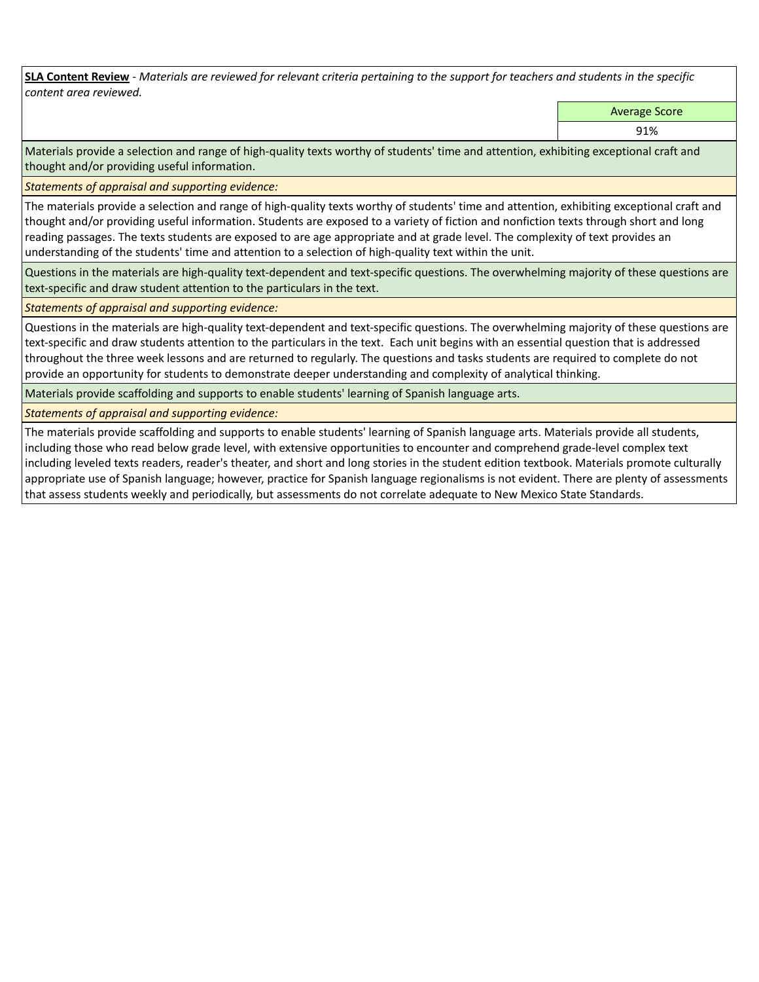**SLA Content Review** *- Materials are reviewed for relevant criteria pertaining to the support for teachers and students in the specific content area reviewed.*

Average Score

91%

Materials provide a selection and range of high-quality texts worthy of students' time and attention, exhibiting exceptional craft and thought and/or providing useful information.

*Statements of appraisal and supporting evidence:* 

The materials provide a selection and range of high-quality texts worthy of students' time and attention, exhibiting exceptional craft and thought and/or providing useful information. Students are exposed to a variety of fiction and nonfiction texts through short and long reading passages. The texts students are exposed to are age appropriate and at grade level. The complexity of text provides an understanding of the students' time and attention to a selection of high-quality text within the unit.

Questions in the materials are high-quality text-dependent and text-specific questions. The overwhelming majority of these questions are text-specific and draw student attention to the particulars in the text.

*Statements of appraisal and supporting evidence:* 

Questions in the materials are high-quality text-dependent and text-specific questions. The overwhelming majority of these questions are text-specific and draw students attention to the particulars in the text. Each unit begins with an essential question that is addressed throughout the three week lessons and are returned to regularly. The questions and tasks students are required to complete do not provide an opportunity for students to demonstrate deeper understanding and complexity of analytical thinking.

Materials provide scaffolding and supports to enable students' learning of Spanish language arts.

*Statements of appraisal and supporting evidence:* 

The materials provide scaffolding and supports to enable students' learning of Spanish language arts. Materials provide all students, including those who read below grade level, with extensive opportunities to encounter and comprehend grade-level complex text including leveled texts readers, reader's theater, and short and long stories in the student edition textbook. Materials promote culturally appropriate use of Spanish language; however, practice for Spanish language regionalisms is not evident. There are plenty of assessments that assess students weekly and periodically, but assessments do not correlate adequate to New Mexico State Standards.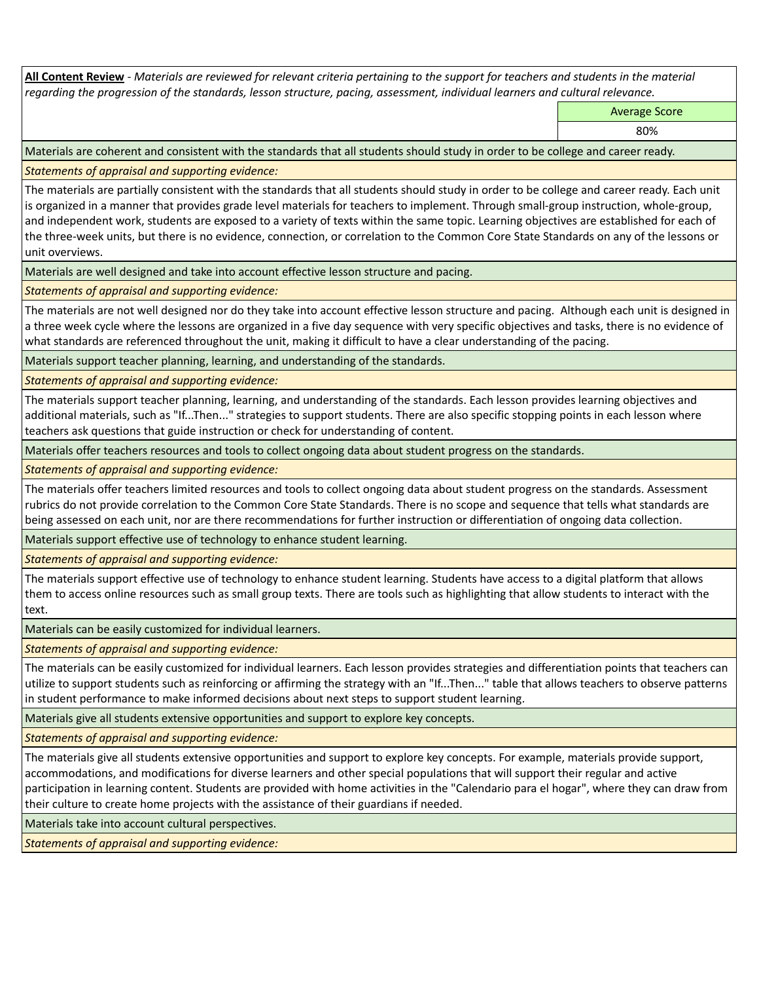**All Content Review** *- Materials are reviewed for relevant criteria pertaining to the support for teachers and students in the material regarding the progression of the standards, lesson structure, pacing, assessment, individual learners and cultural relevance.*

Average Score

80%

Materials are coherent and consistent with the standards that all students should study in order to be college and career ready.

*Statements of appraisal and supporting evidence:*

The materials are partially consistent with the standards that all students should study in order to be college and career ready. Each unit is organized in a manner that provides grade level materials for teachers to implement. Through small-group instruction, whole-group, and independent work, students are exposed to a variety of texts within the same topic. Learning objectives are established for each of the three-week units, but there is no evidence, connection, or correlation to the Common Core State Standards on any of the lessons or unit overviews.

Materials are well designed and take into account effective lesson structure and pacing.

*Statements of appraisal and supporting evidence:*

The materials are not well designed nor do they take into account effective lesson structure and pacing. Although each unit is designed in a three week cycle where the lessons are organized in a five day sequence with very specific objectives and tasks, there is no evidence of what standards are referenced throughout the unit, making it difficult to have a clear understanding of the pacing.

Materials support teacher planning, learning, and understanding of the standards.

*Statements of appraisal and supporting evidence:*

The materials support teacher planning, learning, and understanding of the standards. Each lesson provides learning objectives and additional materials, such as "If...Then..." strategies to support students. There are also specific stopping points in each lesson where teachers ask questions that guide instruction or check for understanding of content.

Materials offer teachers resources and tools to collect ongoing data about student progress on the standards.

*Statements of appraisal and supporting evidence:*

The materials offer teachers limited resources and tools to collect ongoing data about student progress on the standards. Assessment rubrics do not provide correlation to the Common Core State Standards. There is no scope and sequence that tells what standards are being assessed on each unit, nor are there recommendations for further instruction or differentiation of ongoing data collection.

Materials support effective use of technology to enhance student learning.

*Statements of appraisal and supporting evidence:*

The materials support effective use of technology to enhance student learning. Students have access to a digital platform that allows them to access online resources such as small group texts. There are tools such as highlighting that allow students to interact with the text.

Materials can be easily customized for individual learners.

*Statements of appraisal and supporting evidence:* 

The materials can be easily customized for individual learners. Each lesson provides strategies and differentiation points that teachers can utilize to support students such as reinforcing or affirming the strategy with an "If...Then..." table that allows teachers to observe patterns in student performance to make informed decisions about next steps to support student learning.

Materials give all students extensive opportunities and support to explore key concepts.

*Statements of appraisal and supporting evidence:*

The materials give all students extensive opportunities and support to explore key concepts. For example, materials provide support, accommodations, and modifications for diverse learners and other special populations that will support their regular and active participation in learning content. Students are provided with home activities in the "Calendario para el hogar", where they can draw from their culture to create home projects with the assistance of their guardians if needed.

Materials take into account cultural perspectives.

*Statements of appraisal and supporting evidence:*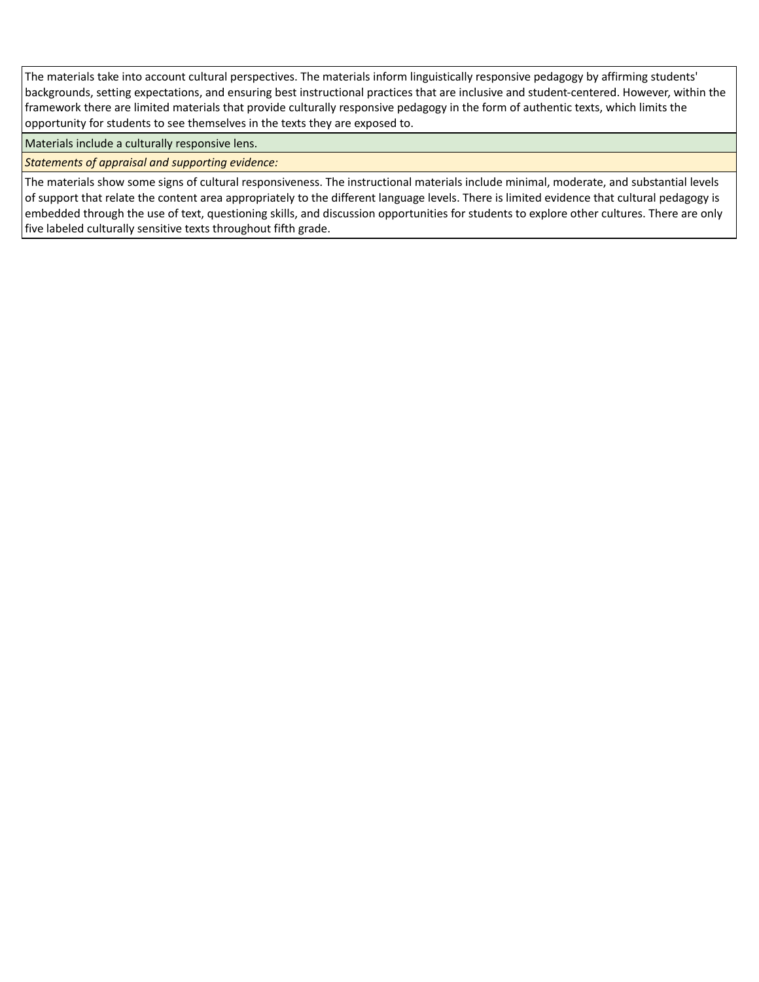The materials take into account cultural perspectives. The materials inform linguistically responsive pedagogy by affirming students' backgrounds, setting expectations, and ensuring best instructional practices that are inclusive and student-centered. However, within the framework there are limited materials that provide culturally responsive pedagogy in the form of authentic texts, which limits the opportunity for students to see themselves in the texts they are exposed to.

Materials include a culturally responsive lens.

*Statements of appraisal and supporting evidence:*

The materials show some signs of cultural responsiveness. The instructional materials include minimal, moderate, and substantial levels of support that relate the content area appropriately to the different language levels. There is limited evidence that cultural pedagogy is embedded through the use of text, questioning skills, and discussion opportunities for students to explore other cultures. There are only five labeled culturally sensitive texts throughout fifth grade.